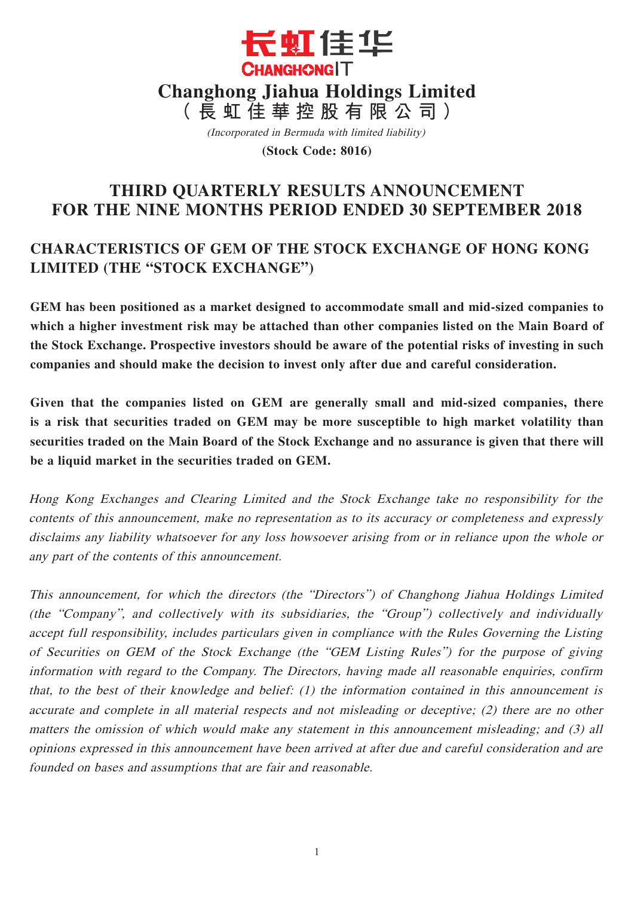

(Incorporated in Bermuda with limited liability)

**(Stock Code: 8016)**

# **THIRD QUARTERLY RESULTS ANNOUNCEMENT FOR THE NINE MONTHS PERIOD ENDED 30 SEPTEMBER 2018**

# **CHARACTERISTICS OF GEM OF THE STOCK EXCHANGE OF HONG KONG LIMITED (THE "STOCK EXCHANGE")**

**GEM has been positioned as a market designed to accommodate small and mid-sized companies to which a higher investment risk may be attached than other companies listed on the Main Board of the Stock Exchange. Prospective investors should be aware of the potential risks of investing in such companies and should make the decision to invest only after due and careful consideration.**

**Given that the companies listed on GEM are generally small and mid-sized companies, there is a risk that securities traded on GEM may be more susceptible to high market volatility than securities traded on the Main Board of the Stock Exchange and no assurance is given that there will be a liquid market in the securities traded on GEM.**

Hong Kong Exchanges and Clearing Limited and the Stock Exchange take no responsibility for the contents of this announcement, make no representation as to its accuracy or completeness and expressly disclaims any liability whatsoever for any loss howsoever arising from or in reliance upon the whole or any part of the contents of this announcement.

This announcement, for which the directors (the "Directors") of Changhong Jiahua Holdings Limited (the "Company", and collectively with its subsidiaries, the "Group") collectively and individually accept full responsibility, includes particulars given in compliance with the Rules Governing the Listing of Securities on GEM of the Stock Exchange (the "GEM Listing Rules") for the purpose of giving information with regard to the Company. The Directors, having made all reasonable enquiries, confirm that, to the best of their knowledge and belief: (1) the information contained in this announcement is accurate and complete in all material respects and not misleading or deceptive; (2) there are no other matters the omission of which would make any statement in this announcement misleading; and (3) all opinions expressed in this announcement have been arrived at after due and careful consideration and are founded on bases and assumptions that are fair and reasonable.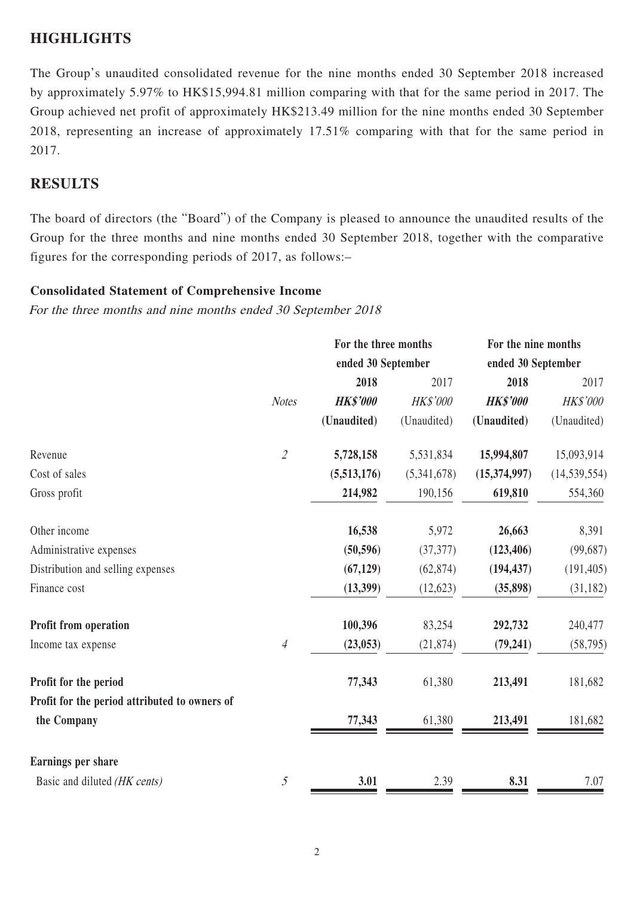## **HIGHLIGHTS**

The Group's unaudited consolidated revenue for the nine months ended 30 September 2018 increased by approximately 5.97% to HK\$15,994.81 million comparing with that for the same period in 2017. The Group achieved net profit of approximately HK\$213.49 million for the nine months ended 30 September 2018, representing an increase of approximately 17.51% comparing with that for the same period in 2017.

## **RESULTS**

The board of directors (the "Board") of the Company is pleased to announce the unaudited results of the Group for the three months and nine months ended 30 September 2018, together with the comparative figures for the corresponding periods of 2017, as follows:–

### **Consolidated Statement of Comprehensive Income**

For the three months and nine months ended 30 September 2018

|                                               | For the three months        |                    |             | For the nine months |                 |
|-----------------------------------------------|-----------------------------|--------------------|-------------|---------------------|-----------------|
|                                               |                             | ended 30 September |             | ended 30 September  |                 |
|                                               |                             | 2018               | 2017        | 2018                | 2017            |
|                                               | <b>Notes</b>                | <b>HK\$'000</b>    | HK\$'000    | <b>HK\$'000</b>     | <b>HK\$'000</b> |
|                                               |                             | (Unaudited)        | (Unaudited) | (Unaudited)         | (Unaudited)     |
| Revenue                                       | $\mathcal{L}_{\mathcal{L}}$ | 5,728,158          | 5,531,834   | 15,994,807          | 15,093,914      |
| Cost of sales                                 |                             | (5,513,176)        | (5,341,678) | (15,374,997)        | (14, 539, 554)  |
| Gross profit                                  |                             | 214,982            | 190,156     | 619,810             | 554,360         |
| Other income                                  |                             | 16,538             | 5,972       | 26,663              | 8,391           |
| Administrative expenses                       |                             | (50, 596)          | (37, 377)   | (123, 406)          | (99, 687)       |
| Distribution and selling expenses             |                             | (67, 129)          | (62, 874)   | (194, 437)          | (191, 405)      |
| Finance cost                                  |                             | (13,399)           | (12, 623)   | (35,898)            | (31, 182)       |
| Profit from operation                         |                             | 100,396            | 83,254      | 292,732             | 240,477         |
| Income tax expense                            | $\overline{A}$              | (23, 053)          | (21, 874)   | (79, 241)           | (58, 795)       |
| Profit for the period                         |                             | 77,343             | 61,380      | 213,491             | 181,682         |
| Profit for the period attributed to owners of |                             |                    |             |                     |                 |
| the Company                                   |                             | 77,343             | 61,380      | 213,491             | 181,682         |
| <b>Earnings per share</b>                     |                             |                    |             |                     |                 |
| Basic and diluted (HK cents)                  | $\mathfrak{H}$              | 3.01               | 2.39        | 8.31                | 7.07            |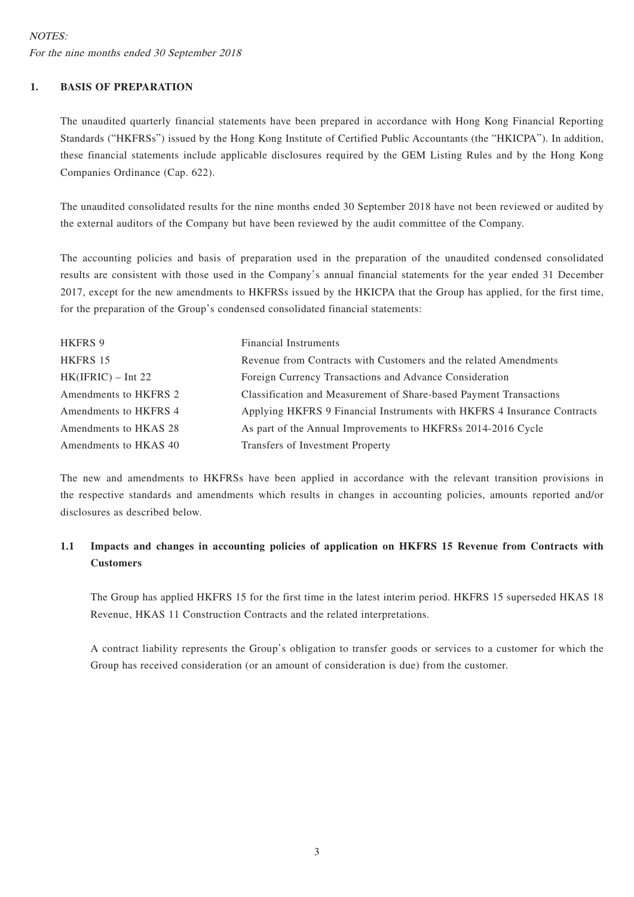### **1. BASIS OF PREPARATION**

The unaudited quarterly financial statements have been prepared in accordance with Hong Kong Financial Reporting Standards ("HKFRSs") issued by the Hong Kong Institute of Certified Public Accountants (the "HKICPA"). In addition, these financial statements include applicable disclosures required by the GEM Listing Rules and by the Hong Kong Companies Ordinance (Cap. 622).

The unaudited consolidated results for the nine months ended 30 September 2018 have not been reviewed or audited by the external auditors of the Company but have been reviewed by the audit committee of the Company.

The accounting policies and basis of preparation used in the preparation of the unaudited condensed consolidated results are consistent with those used in the Company's annual financial statements for the year ended 31 December 2017, except for the new amendments to HKFRSs issued by the HKICPA that the Group has applied, for the first time, for the preparation of the Group's condensed consolidated financial statements:

| HKFRS 9               | <b>Financial Instruments</b>                                            |
|-----------------------|-------------------------------------------------------------------------|
| HKFRS 15              | Revenue from Contracts with Customers and the related Amendments        |
| $HK(IFRIC) - Int 22$  | Foreign Currency Transactions and Advance Consideration                 |
| Amendments to HKFRS 2 | Classification and Measurement of Share-based Payment Transactions      |
| Amendments to HKFRS 4 | Applying HKFRS 9 Financial Instruments with HKFRS 4 Insurance Contracts |
| Amendments to HKAS 28 | As part of the Annual Improvements to HKFRSs 2014-2016 Cycle            |
| Amendments to HKAS 40 | Transfers of Investment Property                                        |

The new and amendments to HKFRSs have been applied in accordance with the relevant transition provisions in the respective standards and amendments which results in changes in accounting policies, amounts reported and/or disclosures as described below.

### **1.1 Impacts and changes in accounting policies of application on HKFRS 15 Revenue from Contracts with Customers**

The Group has applied HKFRS 15 for the first time in the latest interim period. HKFRS 15 superseded HKAS 18 Revenue, HKAS 11 Construction Contracts and the related interpretations.

A contract liability represents the Group's obligation to transfer goods or services to a customer for which the Group has received consideration (or an amount of consideration is due) from the customer.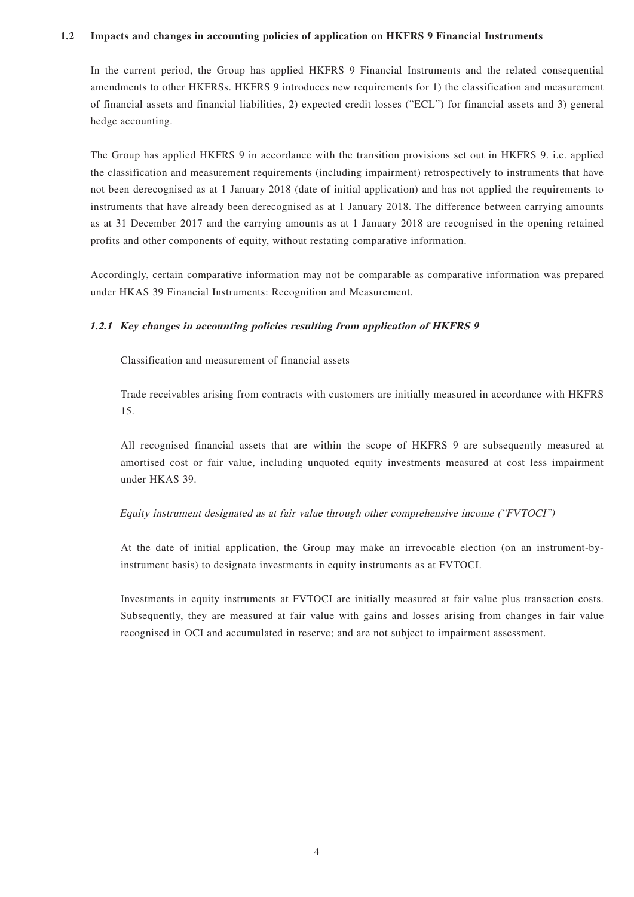#### **1.2 Impacts and changes in accounting policies of application on HKFRS 9 Financial Instruments**

In the current period, the Group has applied HKFRS 9 Financial Instruments and the related consequential amendments to other HKFRSs. HKFRS 9 introduces new requirements for 1) the classification and measurement of financial assets and financial liabilities, 2) expected credit losses ("ECL") for financial assets and 3) general hedge accounting.

The Group has applied HKFRS 9 in accordance with the transition provisions set out in HKFRS 9. i.e. applied the classification and measurement requirements (including impairment) retrospectively to instruments that have not been derecognised as at 1 January 2018 (date of initial application) and has not applied the requirements to instruments that have already been derecognised as at 1 January 2018. The difference between carrying amounts as at 31 December 2017 and the carrying amounts as at 1 January 2018 are recognised in the opening retained profits and other components of equity, without restating comparative information.

Accordingly, certain comparative information may not be comparable as comparative information was prepared under HKAS 39 Financial Instruments: Recognition and Measurement.

#### **1.2.1 Key changes in accounting policies resulting from application of HKFRS 9**

#### Classification and measurement of financial assets

Trade receivables arising from contracts with customers are initially measured in accordance with HKFRS 15.

All recognised financial assets that are within the scope of HKFRS 9 are subsequently measured at amortised cost or fair value, including unquoted equity investments measured at cost less impairment under HKAS 39.

#### Equity instrument designated as at fair value through other comprehensive income ("FVTOCI")

At the date of initial application, the Group may make an irrevocable election (on an instrument-byinstrument basis) to designate investments in equity instruments as at FVTOCI.

Investments in equity instruments at FVTOCI are initially measured at fair value plus transaction costs. Subsequently, they are measured at fair value with gains and losses arising from changes in fair value recognised in OCI and accumulated in reserve; and are not subject to impairment assessment.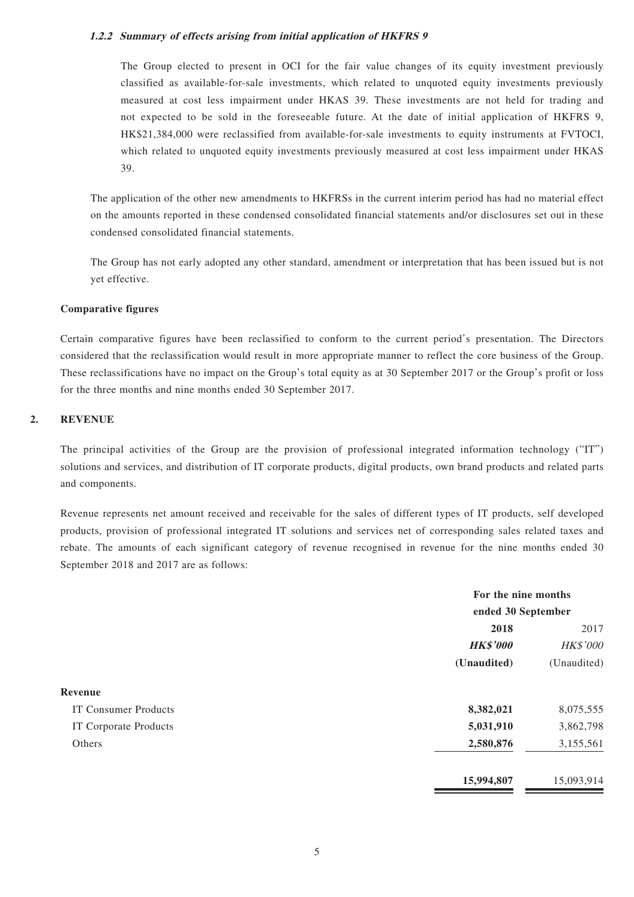#### **1.2.2 Summary of effects arising from initial application of HKFRS 9**

The Group elected to present in OCI for the fair value changes of its equity investment previously classified as available-for-sale investments, which related to unquoted equity investments previously measured at cost less impairment under HKAS 39. These investments are not held for trading and not expected to be sold in the foreseeable future. At the date of initial application of HKFRS 9, HK\$21,384,000 were reclassified from available-for-sale investments to equity instruments at FVTOCI, which related to unquoted equity investments previously measured at cost less impairment under HKAS 39.

The application of the other new amendments to HKFRSs in the current interim period has had no material effect on the amounts reported in these condensed consolidated financial statements and/or disclosures set out in these condensed consolidated financial statements.

The Group has not early adopted any other standard, amendment or interpretation that has been issued but is not yet effective.

#### **Comparative figures**

Certain comparative figures have been reclassified to conform to the current period's presentation. The Directors considered that the reclassification would result in more appropriate manner to reflect the core business of the Group. These reclassifications have no impact on the Group's total equity as at 30 September 2017 or the Group's profit or loss for the three months and nine months ended 30 September 2017.

#### **2. REVENUE**

The principal activities of the Group are the provision of professional integrated information technology ("IT") solutions and services, and distribution of IT corporate products, digital products, own brand products and related parts and components.

Revenue represents net amount received and receivable for the sales of different types of IT products, self developed products, provision of professional integrated IT solutions and services net of corresponding sales related taxes and rebate. The amounts of each significant category of revenue recognised in revenue for the nine months ended 30 September 2018 and 2017 are as follows:

|                             | For the nine months<br>ended 30 September |             |  |
|-----------------------------|-------------------------------------------|-------------|--|
|                             |                                           |             |  |
|                             | 2018                                      | 2017        |  |
|                             | <b>HK\$'000</b>                           | HK\$'000    |  |
|                             | (Unaudited)                               | (Unaudited) |  |
| Revenue                     |                                           |             |  |
| <b>IT Consumer Products</b> | 8,382,021                                 | 8,075,555   |  |
| IT Corporate Products       | 5,031,910                                 | 3,862,798   |  |
| Others                      | 2,580,876                                 | 3,155,561   |  |
|                             | 15,994,807                                | 15,093,914  |  |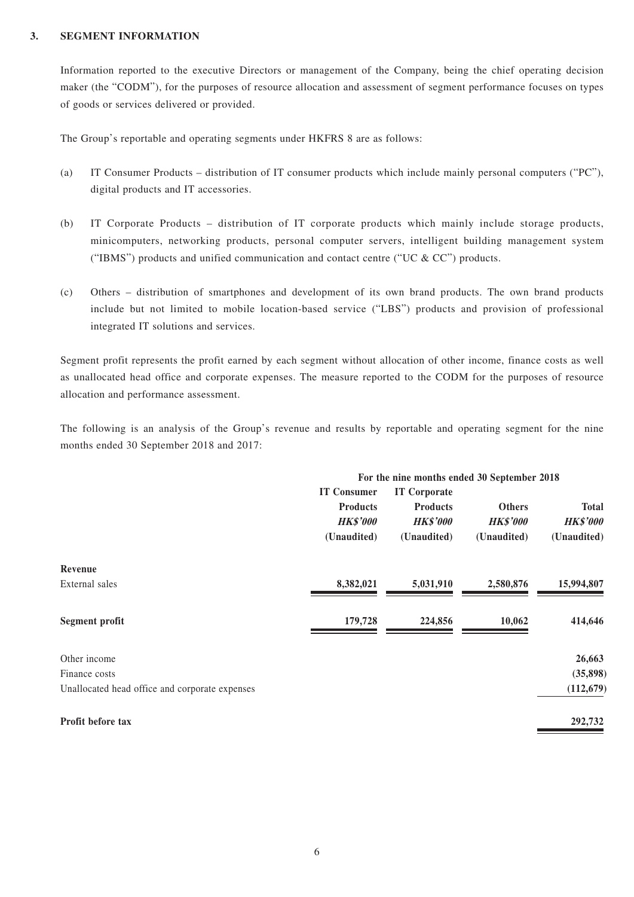#### **3. SEGMENT INFORMATION**

Information reported to the executive Directors or management of the Company, being the chief operating decision maker (the "CODM"), for the purposes of resource allocation and assessment of segment performance focuses on types of goods or services delivered or provided.

The Group's reportable and operating segments under HKFRS 8 are as follows:

- (a) IT Consumer Products distribution of IT consumer products which include mainly personal computers ("PC"), digital products and IT accessories.
- (b) IT Corporate Products distribution of IT corporate products which mainly include storage products, minicomputers, networking products, personal computer servers, intelligent building management system ("IBMS") products and unified communication and contact centre ("UC  $&$  CC") products.
- (c) Others distribution of smartphones and development of its own brand products. The own brand products include but not limited to mobile location-based service ("LBS") products and provision of professional integrated IT solutions and services.

Segment profit represents the profit earned by each segment without allocation of other income, finance costs as well as unallocated head office and corporate expenses. The measure reported to the CODM for the purposes of resource allocation and performance assessment.

The following is an analysis of the Group's revenue and results by reportable and operating segment for the nine months ended 30 September 2018 and 2017:

|                                                | For the nine months ended 30 September 2018 |                 |                 |                 |  |  |
|------------------------------------------------|---------------------------------------------|-----------------|-----------------|-----------------|--|--|
|                                                | <b>IT Consumer</b><br><b>IT Corporate</b>   |                 |                 |                 |  |  |
|                                                | <b>Products</b>                             | <b>Products</b> | <b>Others</b>   | <b>Total</b>    |  |  |
|                                                | <b>HK\$'000</b>                             | <b>HK\$'000</b> | <b>HK\$'000</b> | <b>HK\$'000</b> |  |  |
|                                                | (Unaudited)                                 | (Unaudited)     | (Unaudited)     | (Unaudited)     |  |  |
| Revenue                                        |                                             |                 |                 |                 |  |  |
| External sales                                 | 8,382,021                                   | 5,031,910       | 2,580,876       | 15,994,807      |  |  |
| <b>Segment profit</b>                          | 179,728                                     | 224,856         | 10,062          | 414,646         |  |  |
| Other income                                   |                                             |                 |                 | 26,663          |  |  |
| Finance costs                                  |                                             |                 |                 | (35, 898)       |  |  |
| Unallocated head office and corporate expenses |                                             |                 |                 | (112, 679)      |  |  |
| Profit before tax                              |                                             |                 |                 | 292,732         |  |  |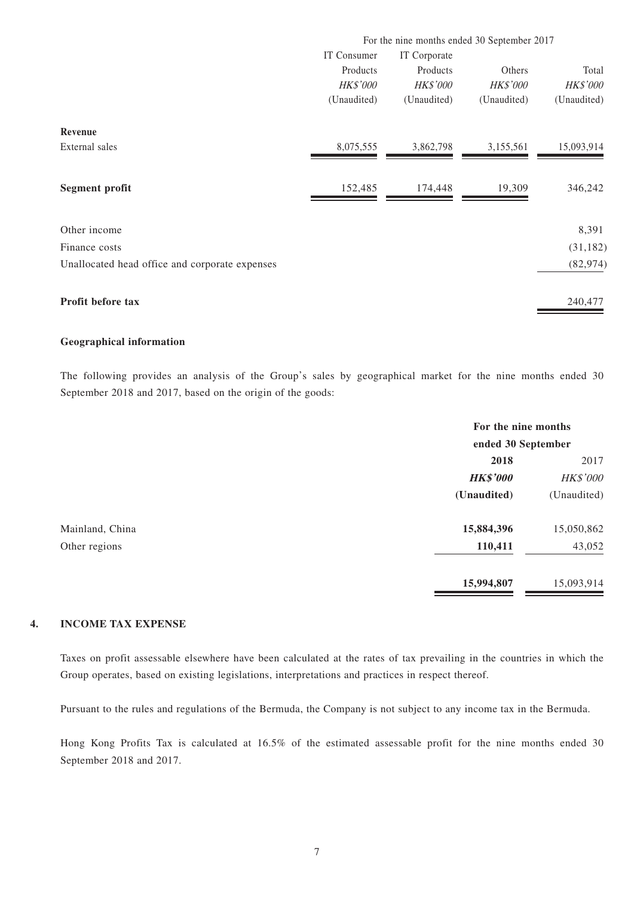|                                                | For the nine months ended 30 September 2017 |                 |                 |                 |  |  |
|------------------------------------------------|---------------------------------------------|-----------------|-----------------|-----------------|--|--|
|                                                | IT Consumer<br>IT Corporate                 |                 |                 |                 |  |  |
|                                                | Products                                    | Products        | Others          | Total           |  |  |
|                                                | <b>HK\$'000</b>                             | <b>HK\$'000</b> | <b>HK\$'000</b> | <b>HK\$'000</b> |  |  |
|                                                | (Unaudited)                                 | (Unaudited)     | (Unaudited)     | (Unaudited)     |  |  |
| Revenue                                        |                                             |                 |                 |                 |  |  |
| External sales                                 | 8,075,555                                   | 3,862,798       | 3,155,561       | 15,093,914      |  |  |
| <b>Segment profit</b>                          | 152,485                                     | 174,448         | 19,309          | 346,242         |  |  |
| Other income                                   |                                             |                 |                 | 8,391           |  |  |
| Finance costs                                  |                                             |                 |                 | (31, 182)       |  |  |
| Unallocated head office and corporate expenses |                                             |                 |                 | (82, 974)       |  |  |
| Profit before tax                              |                                             |                 |                 | 240,477         |  |  |

#### **Geographical information**

The following provides an analysis of the Group's sales by geographical market for the nine months ended 30 September 2018 and 2017, based on the origin of the goods:

|                 |                 | For the nine months |  |  |
|-----------------|-----------------|---------------------|--|--|
|                 |                 | ended 30 September  |  |  |
|                 | 2018            | 2017                |  |  |
|                 | <b>HK\$'000</b> | HK\$'000            |  |  |
|                 | (Unaudited)     | (Unaudited)         |  |  |
| Mainland, China | 15,884,396      | 15,050,862          |  |  |
| Other regions   | 110,411         | 43,052              |  |  |
|                 | 15,994,807      | 15,093,914          |  |  |

### **4. INCOME TAX EXPENSE**

Taxes on profit assessable elsewhere have been calculated at the rates of tax prevailing in the countries in which the Group operates, based on existing legislations, interpretations and practices in respect thereof.

Pursuant to the rules and regulations of the Bermuda, the Company is not subject to any income tax in the Bermuda.

Hong Kong Profits Tax is calculated at 16.5% of the estimated assessable profit for the nine months ended 30 September 2018 and 2017.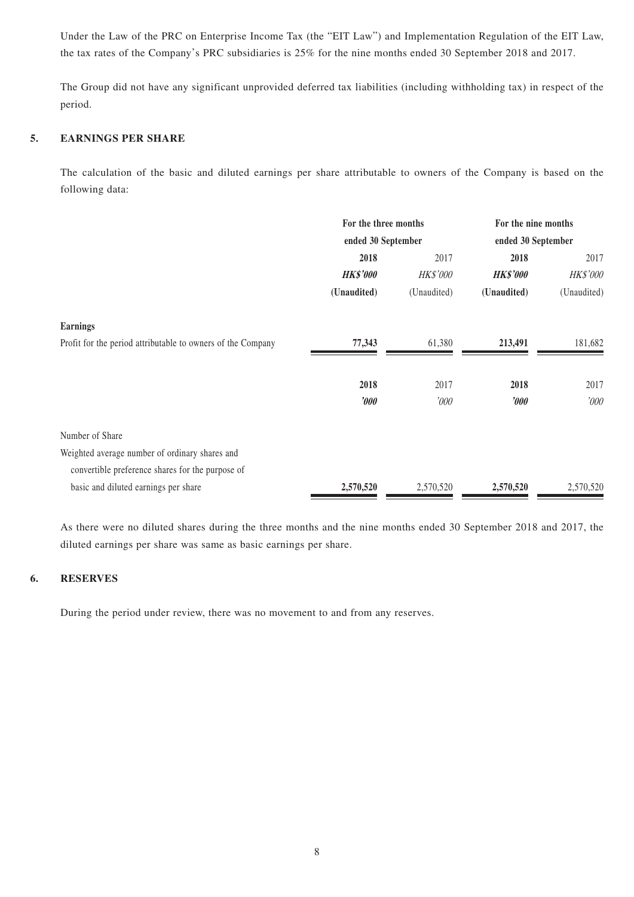Under the Law of the PRC on Enterprise Income Tax (the "EIT Law") and Implementation Regulation of the EIT Law, the tax rates of the Company's PRC subsidiaries is 25% for the nine months ended 30 September 2018 and 2017.

The Group did not have any significant unprovided deferred tax liabilities (including withholding tax) in respect of the period.

### **5. EARNINGS PER SHARE**

The calculation of the basic and diluted earnings per share attributable to owners of the Company is based on the following data:

|                                                             | For the three months<br>ended 30 September |                 | For the nine months<br>ended 30 September |             |
|-------------------------------------------------------------|--------------------------------------------|-----------------|-------------------------------------------|-------------|
|                                                             |                                            |                 |                                           |             |
|                                                             | 2018<br>2017                               |                 | 2018                                      | 2017        |
|                                                             | <b>HK\$'000</b>                            | <b>HK\$'000</b> | <b>HK\$'000</b>                           | HK\$'000    |
|                                                             | (Unaudited)                                | (Unaudited)     | (Unaudited)                               | (Unaudited) |
| <b>Earnings</b>                                             |                                            |                 |                                           |             |
| Profit for the period attributable to owners of the Company | 77,343                                     | 61,380          | 213,491                                   | 181,682     |
|                                                             | 2018                                       | 2017            | 2018                                      | 2017        |
|                                                             | $\boldsymbol{\delta}$                      | '000            | $\partial \theta$                         | '000        |
| Number of Share                                             |                                            |                 |                                           |             |
| Weighted average number of ordinary shares and              |                                            |                 |                                           |             |
| convertible preference shares for the purpose of            |                                            |                 |                                           |             |
| basic and diluted earnings per share                        | 2,570,520                                  | 2,570,520       | 2,570,520                                 | 2,570,520   |

As there were no diluted shares during the three months and the nine months ended 30 September 2018 and 2017, the diluted earnings per share was same as basic earnings per share.

### **6. RESERVES**

During the period under review, there was no movement to and from any reserves.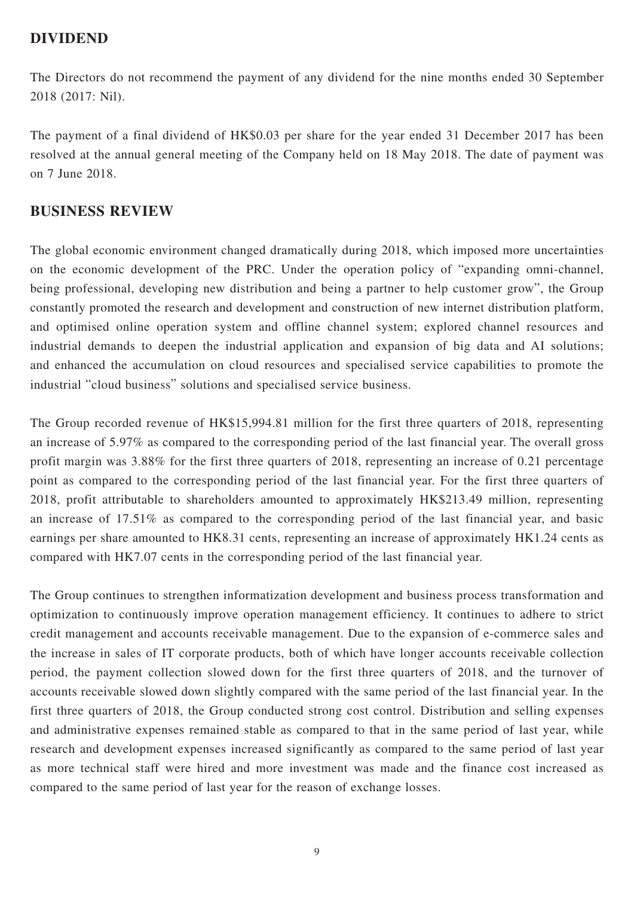## **DIVIDEND**

The Directors do not recommend the payment of any dividend for the nine months ended 30 September 2018 (2017: Nil).

The payment of a final dividend of HK\$0.03 per share for the year ended 31 December 2017 has been resolved at the annual general meeting of the Company held on 18 May 2018. The date of payment was on 7 June 2018.

## **BUSINESS REVIEW**

The global economic environment changed dramatically during 2018, which imposed more uncertainties on the economic development of the PRC. Under the operation policy of "expanding omni-channel, being professional, developing new distribution and being a partner to help customer grow", the Group constantly promoted the research and development and construction of new internet distribution platform, and optimised online operation system and offline channel system; explored channel resources and industrial demands to deepen the industrial application and expansion of big data and AI solutions; and enhanced the accumulation on cloud resources and specialised service capabilities to promote the industrial "cloud business" solutions and specialised service business.

The Group recorded revenue of HK\$15,994.81 million for the first three quarters of 2018, representing an increase of 5.97% as compared to the corresponding period of the last financial year. The overall gross profit margin was 3.88% for the first three quarters of 2018, representing an increase of 0.21 percentage point as compared to the corresponding period of the last financial year. For the first three quarters of 2018, profit attributable to shareholders amounted to approximately HK\$213.49 million, representing an increase of 17.51% as compared to the corresponding period of the last financial year, and basic earnings per share amounted to HK8.31 cents, representing an increase of approximately HK1.24 cents as compared with HK7.07 cents in the corresponding period of the last financial year.

The Group continues to strengthen informatization development and business process transformation and optimization to continuously improve operation management efficiency. It continues to adhere to strict credit management and accounts receivable management. Due to the expansion of e-commerce sales and the increase in sales of IT corporate products, both of which have longer accounts receivable collection period, the payment collection slowed down for the first three quarters of 2018, and the turnover of accounts receivable slowed down slightly compared with the same period of the last financial year. In the first three quarters of 2018, the Group conducted strong cost control. Distribution and selling expenses and administrative expenses remained stable as compared to that in the same period of last year, while research and development expenses increased significantly as compared to the same period of last year as more technical staff were hired and more investment was made and the finance cost increased as compared to the same period of last year for the reason of exchange losses.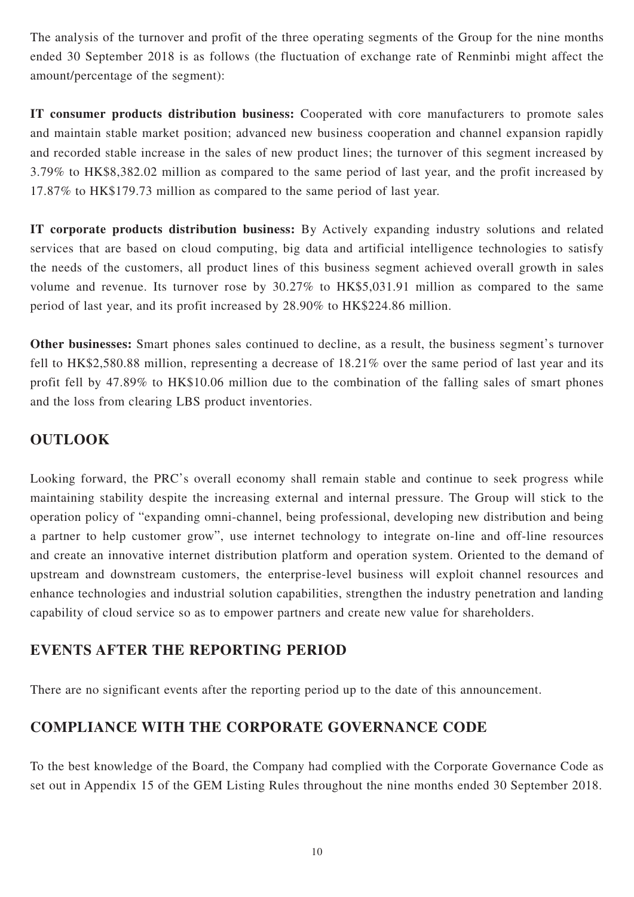The analysis of the turnover and profit of the three operating segments of the Group for the nine months ended 30 September 2018 is as follows (the fluctuation of exchange rate of Renminbi might affect the amount/percentage of the segment):

**IT consumer products distribution business:** Cooperated with core manufacturers to promote sales and maintain stable market position; advanced new business cooperation and channel expansion rapidly and recorded stable increase in the sales of new product lines; the turnover of this segment increased by 3.79% to HK\$8,382.02 million as compared to the same period of last year, and the profit increased by 17.87% to HK\$179.73 million as compared to the same period of last year.

**IT corporate products distribution business:** By Actively expanding industry solutions and related services that are based on cloud computing, big data and artificial intelligence technologies to satisfy the needs of the customers, all product lines of this business segment achieved overall growth in sales volume and revenue. Its turnover rose by 30.27% to HK\$5,031.91 million as compared to the same period of last year, and its profit increased by 28.90% to HK\$224.86 million.

**Other businesses:** Smart phones sales continued to decline, as a result, the business segment's turnover fell to HK\$2,580.88 million, representing a decrease of 18.21% over the same period of last year and its profit fell by 47.89% to HK\$10.06 million due to the combination of the falling sales of smart phones and the loss from clearing LBS product inventories.

## **OUTLOOK**

Looking forward, the PRC's overall economy shall remain stable and continue to seek progress while maintaining stability despite the increasing external and internal pressure. The Group will stick to the operation policy of "expanding omni-channel, being professional, developing new distribution and being a partner to help customer grow", use internet technology to integrate on-line and off-line resources and create an innovative internet distribution platform and operation system. Oriented to the demand of upstream and downstream customers, the enterprise-level business will exploit channel resources and enhance technologies and industrial solution capabilities, strengthen the industry penetration and landing capability of cloud service so as to empower partners and create new value for shareholders.

## **EVENTS AFTER THE REPORTING PERIOD**

There are no significant events after the reporting period up to the date of this announcement.

## **COMPLIANCE WITH THE CORPORATE GOVERNANCE CODE**

To the best knowledge of the Board, the Company had complied with the Corporate Governance Code as set out in Appendix 15 of the GEM Listing Rules throughout the nine months ended 30 September 2018.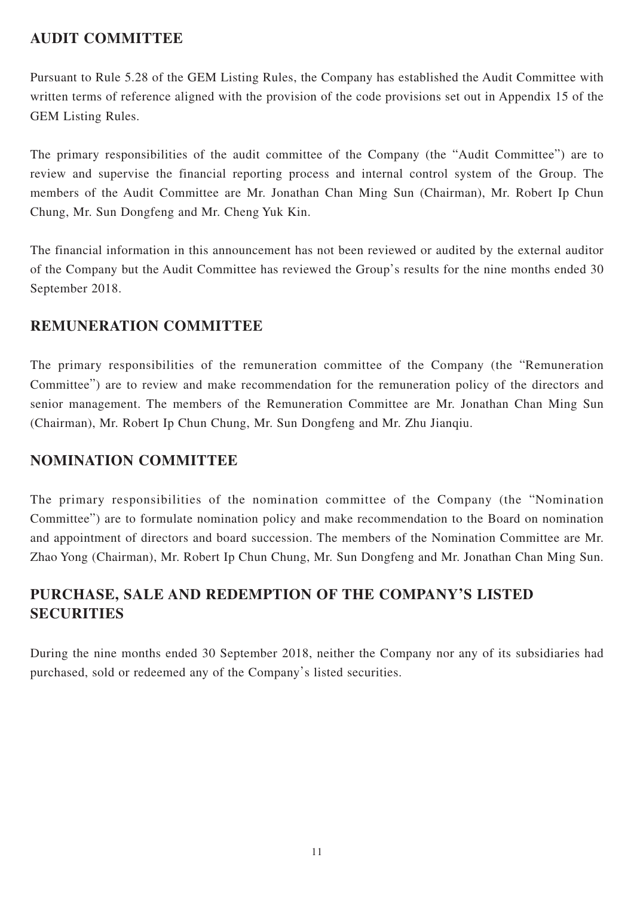## **AUDIT COMMITTEE**

Pursuant to Rule 5.28 of the GEM Listing Rules, the Company has established the Audit Committee with written terms of reference aligned with the provision of the code provisions set out in Appendix 15 of the GEM Listing Rules.

The primary responsibilities of the audit committee of the Company (the "Audit Committee") are to review and supervise the financial reporting process and internal control system of the Group. The members of the Audit Committee are Mr. Jonathan Chan Ming Sun (Chairman), Mr. Robert Ip Chun Chung, Mr. Sun Dongfeng and Mr. Cheng Yuk Kin.

The financial information in this announcement has not been reviewed or audited by the external auditor of the Company but the Audit Committee has reviewed the Group's results for the nine months ended 30 September 2018.

## **REMUNERATION COMMITTEE**

The primary responsibilities of the remuneration committee of the Company (the "Remuneration Committee") are to review and make recommendation for the remuneration policy of the directors and senior management. The members of the Remuneration Committee are Mr. Jonathan Chan Ming Sun (Chairman), Mr. Robert Ip Chun Chung, Mr. Sun Dongfeng and Mr. Zhu Jianqiu.

## **NOMINATION COMMITTEE**

The primary responsibilities of the nomination committee of the Company (the "Nomination Committee") are to formulate nomination policy and make recommendation to the Board on nomination and appointment of directors and board succession. The members of the Nomination Committee are Mr. Zhao Yong (Chairman), Mr. Robert Ip Chun Chung, Mr. Sun Dongfeng and Mr. Jonathan Chan Ming Sun.

# **PURCHASE, SALE AND REDEMPTION OF THE COMPANY'S LISTED SECURITIES**

During the nine months ended 30 September 2018, neither the Company nor any of its subsidiaries had purchased, sold or redeemed any of the Company's listed securities.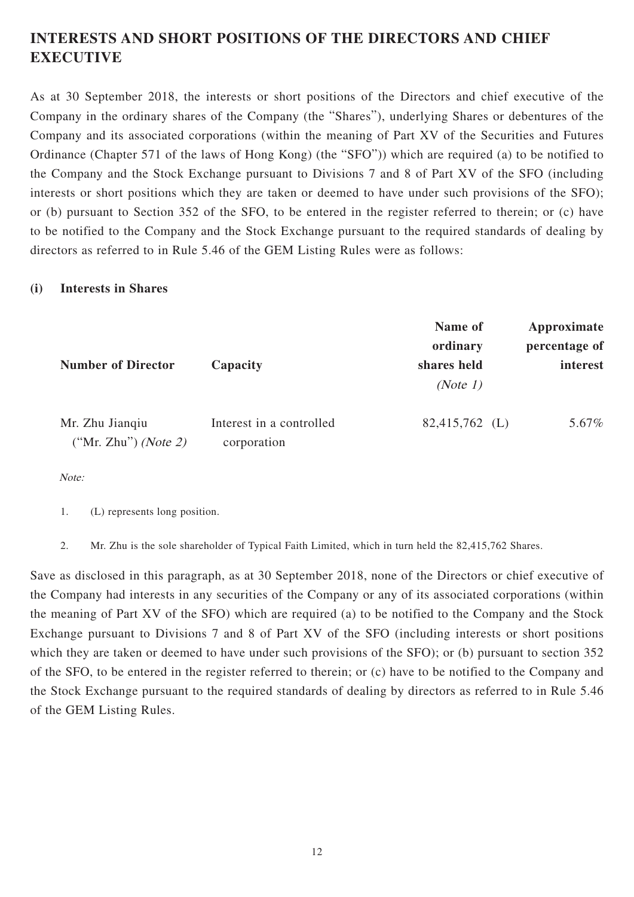# **INTERESTS AND SHORT POSITIONS OF THE DIRECTORS AND CHIEF EXECUTIVE**

As at 30 September 2018, the interests or short positions of the Directors and chief executive of the Company in the ordinary shares of the Company (the "Shares"), underlying Shares or debentures of the Company and its associated corporations (within the meaning of Part XV of the Securities and Futures Ordinance (Chapter 571 of the laws of Hong Kong) (the "SFO")) which are required (a) to be notified to the Company and the Stock Exchange pursuant to Divisions 7 and 8 of Part XV of the SFO (including interests or short positions which they are taken or deemed to have under such provisions of the SFO); or (b) pursuant to Section 352 of the SFO, to be entered in the register referred to therein; or (c) have to be notified to the Company and the Stock Exchange pursuant to the required standards of dealing by directors as referred to in Rule 5.46 of the GEM Listing Rules were as follows:

### **(i) Interests in Shares**

|                                                  |                                         | Name of<br>ordinary | Approximate<br>percentage of |
|--------------------------------------------------|-----------------------------------------|---------------------|------------------------------|
| <b>Number of Director</b>                        | Capacity                                | shares held         | interest                     |
|                                                  |                                         | (Note 1)            |                              |
| Mr. Zhu Jianqiu<br>("Mr. Zhu") ( <i>Note 2</i> ) | Interest in a controlled<br>corporation | $82,415,762$ (L)    | 5.67%                        |

Note:

1. (L) represents long position.

2. Mr. Zhu is the sole shareholder of Typical Faith Limited, which in turn held the 82,415,762 Shares.

Save as disclosed in this paragraph, as at 30 September 2018, none of the Directors or chief executive of the Company had interests in any securities of the Company or any of its associated corporations (within the meaning of Part XV of the SFO) which are required (a) to be notified to the Company and the Stock Exchange pursuant to Divisions 7 and 8 of Part XV of the SFO (including interests or short positions which they are taken or deemed to have under such provisions of the SFO); or (b) pursuant to section 352 of the SFO, to be entered in the register referred to therein; or (c) have to be notified to the Company and the Stock Exchange pursuant to the required standards of dealing by directors as referred to in Rule 5.46 of the GEM Listing Rules.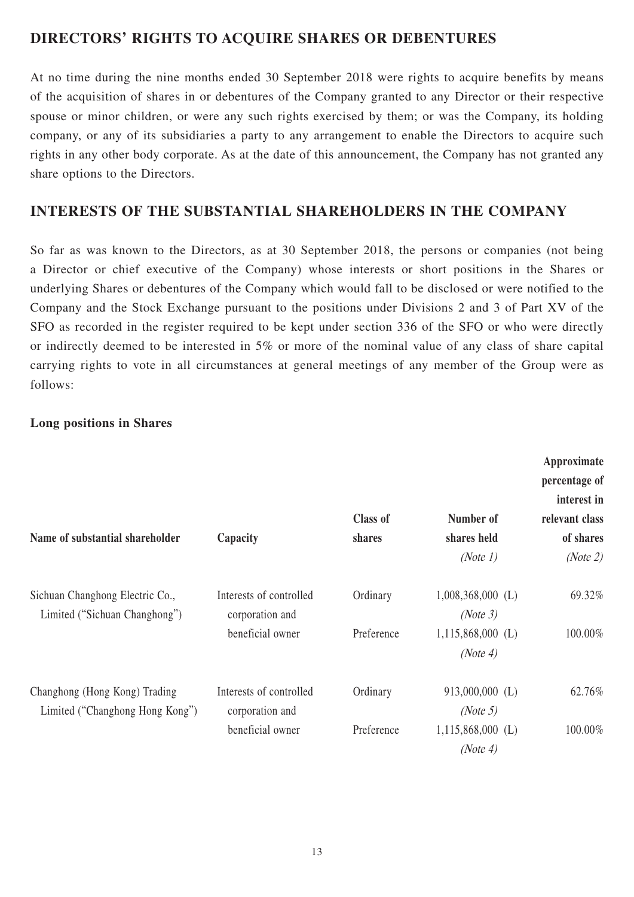## **DIRECTORS' RIGHTS TO ACQUIRE SHARES OR DEBENTURES**

At no time during the nine months ended 30 September 2018 were rights to acquire benefits by means of the acquisition of shares in or debentures of the Company granted to any Director or their respective spouse or minor children, or were any such rights exercised by them; or was the Company, its holding company, or any of its subsidiaries a party to any arrangement to enable the Directors to acquire such rights in any other body corporate. As at the date of this announcement, the Company has not granted any share options to the Directors.

## **INTERESTS OF THE SUBSTANTIAL SHAREHOLDERS IN THE COMPANY**

So far as was known to the Directors, as at 30 September 2018, the persons or companies (not being a Director or chief executive of the Company) whose interests or short positions in the Shares or underlying Shares or debentures of the Company which would fall to be disclosed or were notified to the Company and the Stock Exchange pursuant to the positions under Divisions 2 and 3 of Part XV of the SFO as recorded in the register required to be kept under section 336 of the SFO or who were directly or indirectly deemed to be interested in 5% or more of the nominal value of any class of share capital carrying rights to vote in all circumstances at general meetings of any member of the Group were as follows:

### **Long positions in Shares**

| Name of substantial shareholder                                  | Capacity                                   | <b>Class of</b><br>shares | Number of<br>shares held        | Approximate<br>percentage of<br>interest in<br>relevant class<br>of shares |
|------------------------------------------------------------------|--------------------------------------------|---------------------------|---------------------------------|----------------------------------------------------------------------------|
|                                                                  |                                            |                           | (Note 1)                        | (Note 2)                                                                   |
| Sichuan Changhong Electric Co.,<br>Limited ("Sichuan Changhong") | Interests of controlled<br>corporation and | Ordinary                  | $1,008,368,000$ (L)<br>(Note 3) | 69.32%                                                                     |
|                                                                  | beneficial owner                           | Preference                | $1,115,868,000$ (L)<br>(Note 4) | 100.00%                                                                    |
| Changhong (Hong Kong) Trading<br>Limited ("Changhong Hong Kong") | Interests of controlled<br>corporation and | Ordinary                  | 913,000,000 (L)<br>(Note 5)     | 62.76%                                                                     |
|                                                                  | beneficial owner                           | Preference                | $1,115,868,000$ (L)<br>(Note 4) | 100.00%                                                                    |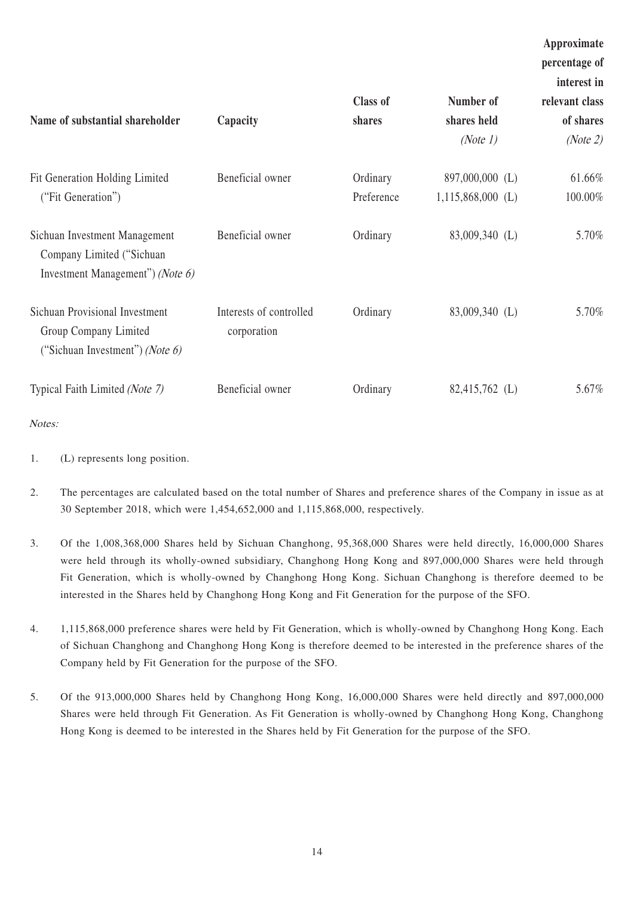| Name of substantial shareholder                                                                   | Capacity                               | <b>Class of</b><br>shares | Number of<br>shares held<br>(Note 1)   | Approximate<br>percentage of<br>interest in<br>relevant class<br>of shares<br>(Note 2) |
|---------------------------------------------------------------------------------------------------|----------------------------------------|---------------------------|----------------------------------------|----------------------------------------------------------------------------------------|
| Fit Generation Holding Limited<br>("Fit Generation")                                              | Beneficial owner                       | Ordinary<br>Preference    | 897,000,000 (L)<br>$1,115,868,000$ (L) | 61.66%<br>100.00%                                                                      |
| Sichuan Investment Management<br>Company Limited ("Sichuan<br>Investment Management") (Note $6$ ) | Beneficial owner                       | Ordinary                  | 83,009,340 (L)                         | 5.70%                                                                                  |
| Sichuan Provisional Investment<br>Group Company Limited<br>("Sichuan Investment") (Note $6$ )     | Interests of controlled<br>corporation | Ordinary                  | 83,009,340 (L)                         | 5.70%                                                                                  |
| Typical Faith Limited (Note 7)                                                                    | Beneficial owner                       | Ordinary                  | 82,415,762 (L)                         | 5.67%                                                                                  |

- Notes:
- 1. (L) represents long position.
- 2. The percentages are calculated based on the total number of Shares and preference shares of the Company in issue as at 30 September 2018, which were 1,454,652,000 and 1,115,868,000, respectively.
- 3. Of the 1,008,368,000 Shares held by Sichuan Changhong, 95,368,000 Shares were held directly, 16,000,000 Shares were held through its wholly-owned subsidiary, Changhong Hong Kong and 897,000,000 Shares were held through Fit Generation, which is wholly-owned by Changhong Hong Kong. Sichuan Changhong is therefore deemed to be interested in the Shares held by Changhong Hong Kong and Fit Generation for the purpose of the SFO.
- 4. 1,115,868,000 preference shares were held by Fit Generation, which is wholly-owned by Changhong Hong Kong. Each of Sichuan Changhong and Changhong Hong Kong is therefore deemed to be interested in the preference shares of the Company held by Fit Generation for the purpose of the SFO.
- 5. Of the 913,000,000 Shares held by Changhong Hong Kong, 16,000,000 Shares were held directly and 897,000,000 Shares were held through Fit Generation. As Fit Generation is wholly-owned by Changhong Hong Kong, Changhong Hong Kong is deemed to be interested in the Shares held by Fit Generation for the purpose of the SFO.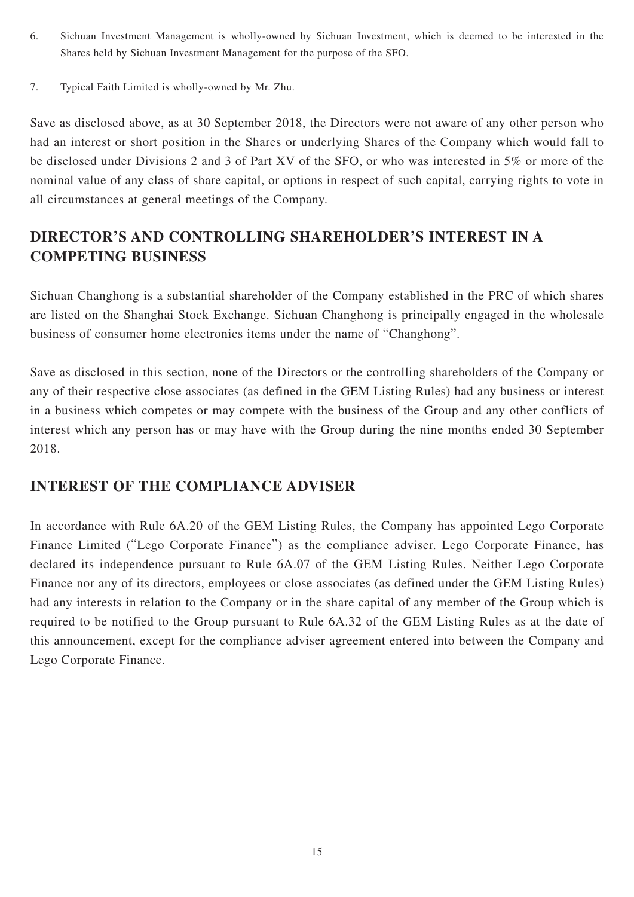- 6. Sichuan Investment Management is wholly-owned by Sichuan Investment, which is deemed to be interested in the Shares held by Sichuan Investment Management for the purpose of the SFO.
- 7. Typical Faith Limited is wholly-owned by Mr. Zhu.

Save as disclosed above, as at 30 September 2018, the Directors were not aware of any other person who had an interest or short position in the Shares or underlying Shares of the Company which would fall to be disclosed under Divisions 2 and 3 of Part XV of the SFO, or who was interested in 5% or more of the nominal value of any class of share capital, or options in respect of such capital, carrying rights to vote in all circumstances at general meetings of the Company.

# **DIRECTOR'S AND CONTROLLING SHAREHOLDER'S INTEREST IN A COMPETING BUSINESS**

Sichuan Changhong is a substantial shareholder of the Company established in the PRC of which shares are listed on the Shanghai Stock Exchange. Sichuan Changhong is principally engaged in the wholesale business of consumer home electronics items under the name of "Changhong".

Save as disclosed in this section, none of the Directors or the controlling shareholders of the Company or any of their respective close associates (as defined in the GEM Listing Rules) had any business or interest in a business which competes or may compete with the business of the Group and any other conflicts of interest which any person has or may have with the Group during the nine months ended 30 September 2018.

## **INTEREST OF THE COMPLIANCE ADVISER**

In accordance with Rule 6A.20 of the GEM Listing Rules, the Company has appointed Lego Corporate Finance Limited ("Lego Corporate Finance") as the compliance adviser. Lego Corporate Finance, has declared its independence pursuant to Rule 6A.07 of the GEM Listing Rules. Neither Lego Corporate Finance nor any of its directors, employees or close associates (as defined under the GEM Listing Rules) had any interests in relation to the Company or in the share capital of any member of the Group which is required to be notified to the Group pursuant to Rule 6A.32 of the GEM Listing Rules as at the date of this announcement, except for the compliance adviser agreement entered into between the Company and Lego Corporate Finance.